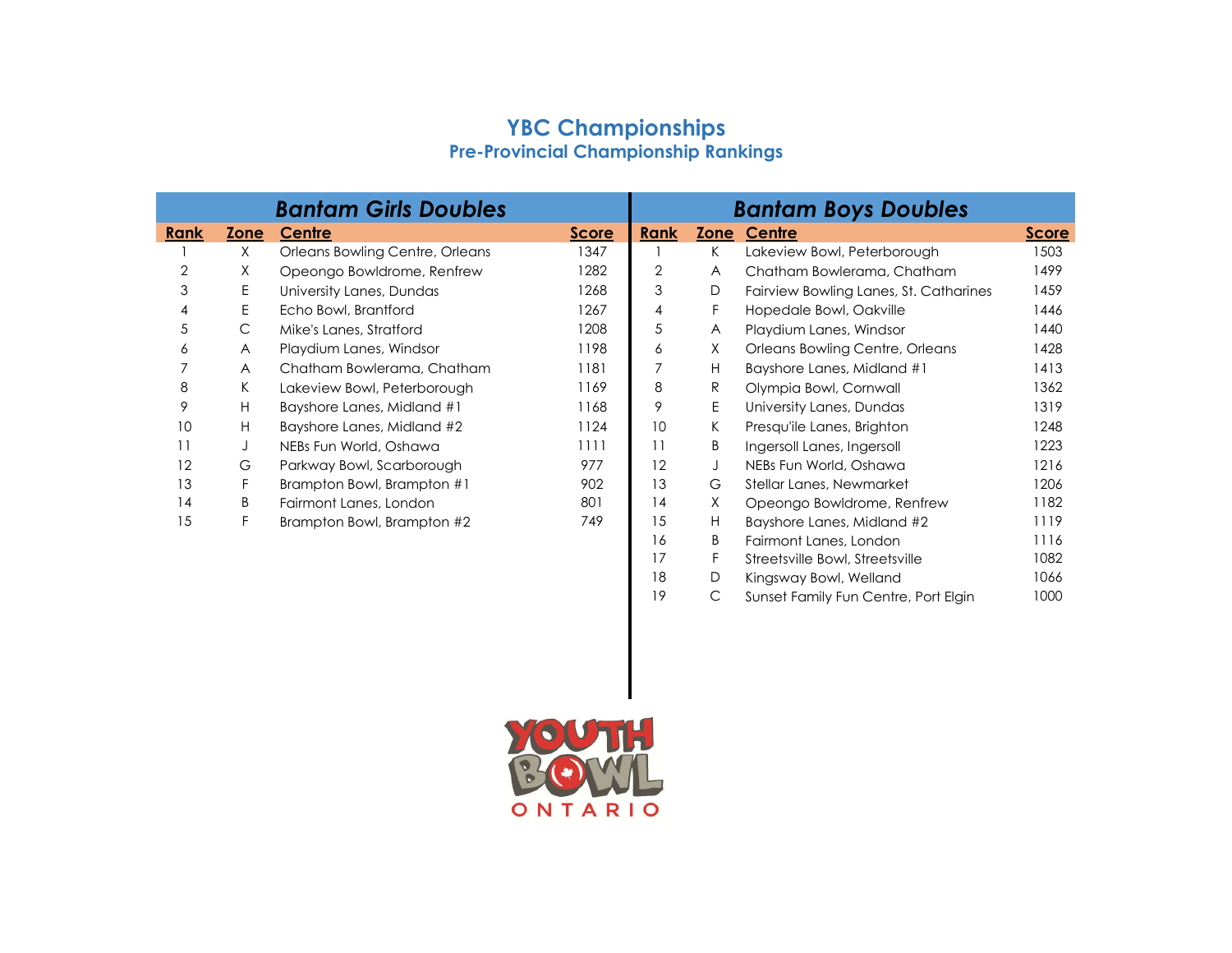## YBC Championships Pre-Provincial Championship Rankings

| <b>Bantam Girls Doubles</b> |             |                                 |              | <b>Bantam Boys Doubles</b> |      |                                        |              |
|-----------------------------|-------------|---------------------------------|--------------|----------------------------|------|----------------------------------------|--------------|
| <b>Rank</b>                 | <b>Zone</b> | Centre                          | <b>Score</b> | <b>Rank</b>                | Zone | Centre                                 | <b>Score</b> |
|                             | X.          | Orleans Bowling Centre, Orleans | 1347         |                            | K    | Lakeview Bowl, Peterborough            | 1503         |
| 2                           | Χ           | Opeongo Bowldrome, Renfrew      | 1282         | 2                          | A    | Chatham Bowlerama, Chatham             | 1499         |
| 3                           | E           | University Lanes, Dundas        | 1268         | 3                          | D    | Fairview Bowling Lanes, St. Catharines | 1459         |
| 4                           | E           | Echo Bowl, Brantford            | 1267         | 4                          | F    | Hopedale Bowl, Oakville                | 1446         |
| 5                           | С           | Mike's Lanes, Stratford         | 1208         | 5                          | A    | Playdium Lanes, Windsor                | 1440         |
| 6                           | A           | Playdium Lanes, Windsor         | 1198         | 6                          | X    | Orleans Bowling Centre, Orleans        | 1428         |
|                             | A           | Chatham Bowlerama, Chatham      | 1181         |                            | Н    | Bayshore Lanes, Midland #1             | 1413         |
| 8                           | K.          | Lakeview Bowl, Peterborough     | 1169         | 8                          | R    | Olympia Bowl, Cornwall                 | 1362         |
| 9                           | н           | Bayshore Lanes, Midland #1      | 1168         | 9                          | Е    | University Lanes, Dundas               | 1319         |
| 10                          | H           | Bayshore Lanes, Midland #2      | 1124         | 10                         | K.   | Presqu'ile Lanes, Brighton             | 1248         |
| 11                          | J           | NEBs Fun World, Oshawa          | 1111         | 11                         | B    | Ingersoll Lanes, Ingersoll             | 1223         |
| 12                          | G           | Parkway Bowl, Scarborough       | 977          | 12                         | J    | NEBs Fun World, Oshawa                 | 1216         |
| 13                          | F           | Brampton Bowl, Brampton #1      | 902          | 13                         | G    | Stellar Lanes, Newmarket               | 1206         |
| 14                          | B           | Fairmont Lanes, London          | 801          | 14                         | X    | Opeongo Bowldrome, Renfrew             | 1182         |
| 15                          | F           | Brampton Bowl, Brampton #2      | 749          | 15                         | H    | Bayshore Lanes, Midland #2             | 1119         |
|                             |             |                                 |              | 16                         | B    | Fairmont Lanes, London                 | 1116         |
|                             |             |                                 |              | 17                         |      | Streetsville Bowl, Streetsville        | 1082         |
|                             |             |                                 |              | 18                         | D    | Kingsway Bowl, Welland                 | 1066         |

D Kingsway Bowl, Welland 1066

19 C Sunset Family Fun Centre, Port Elgin 1000

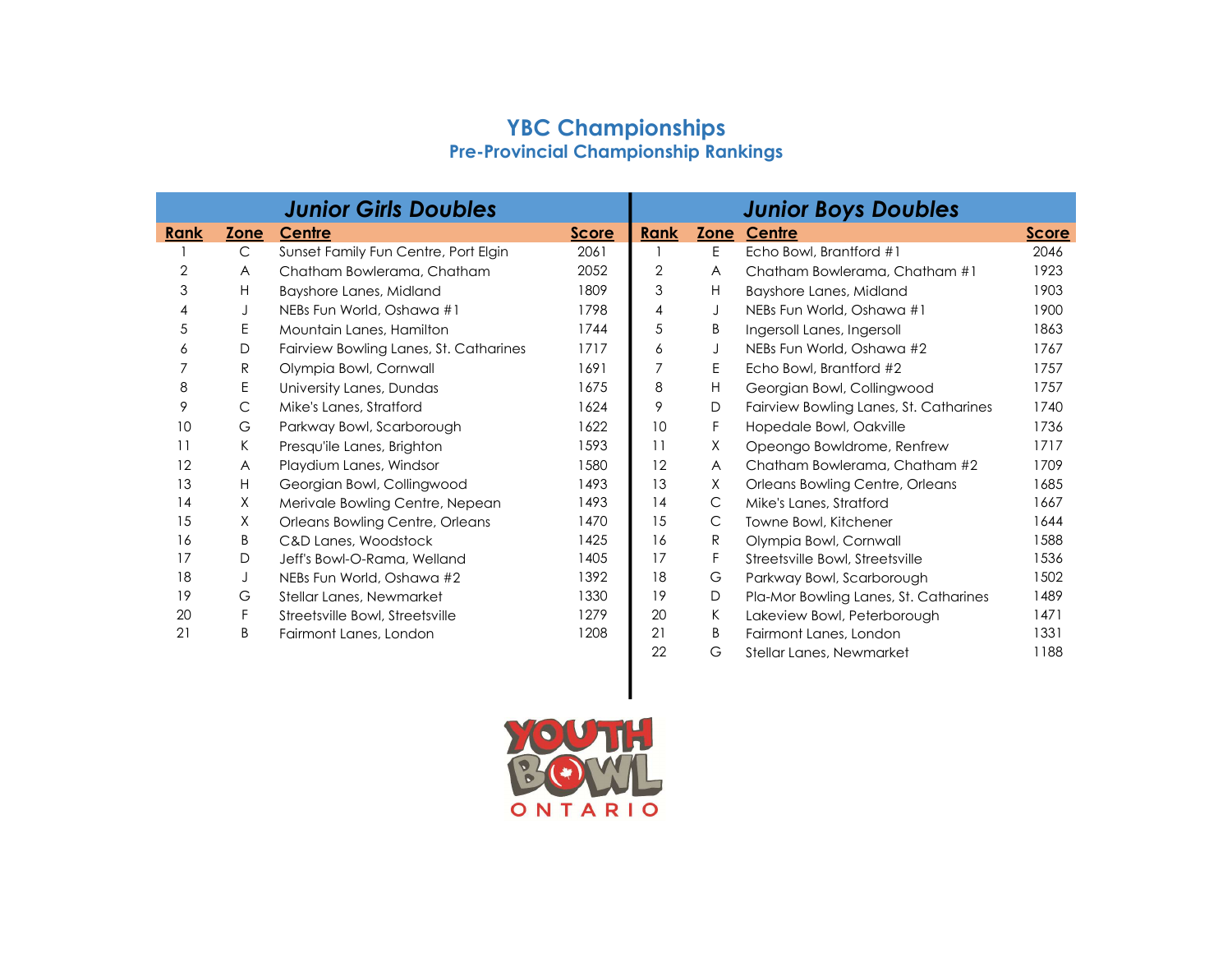## YBC Championships Pre-Provincial Championship Rankings

|      |      | <b>Junior Girls Doubles</b>            |              |             |                         | <b>Junior Boys Doubles</b>             |              |
|------|------|----------------------------------------|--------------|-------------|-------------------------|----------------------------------------|--------------|
| Rank | Zone | Centre                                 | <b>Score</b> | <b>Rank</b> | Zone                    | Centre                                 | <b>Score</b> |
|      | C    | Sunset Family Fun Centre, Port Elgin   | 2061         |             | E                       | Echo Bowl, Brantford #1                | 2046         |
| 2    | A    | Chatham Bowlerama, Chatham             | 2052         | 2           | $\overline{\mathsf{A}}$ | Chatham Bowlerama, Chatham #1          | 1923         |
| 3    | H    | Bayshore Lanes, Midland                | 1809         | 3           | H                       | Bayshore Lanes, Midland                | 1903         |
| 4    | J    | NEBs Fun World, Oshawa #1              | 1798         | 4           | J                       | NEBs Fun World, Oshawa #1              | 1900         |
| 5    | E    | Mountain Lanes, Hamilton               | 1744         | 5           | B                       | Ingersoll Lanes, Ingersoll             | 1863         |
| 6    | D    | Fairview Bowling Lanes, St. Catharines | 1717         | 6           | J                       | NEBs Fun World, Oshawa #2              | 1767         |
| 7    | R    | Olympia Bowl, Cornwall                 | 1691         |             | Ε                       | Echo Bowl, Brantford #2                | 1757         |
| 8    | E    | University Lanes, Dundas               | 1675         | 8           | H                       | Georgian Bowl, Collingwood             | 1757         |
| 9    | C    | Mike's Lanes, Stratford                | 1624         | 9           | D                       | Fairview Bowling Lanes, St. Catharines | 1740         |
| 10   | G    | Parkway Bowl, Scarborough              | 1622         | 10          | F                       | Hopedale Bowl, Oakville                | 1736         |
| 11   | K    | Presqu'ile Lanes, Brighton             | 1593         | 11          | X                       | Opeongo Bowldrome, Renfrew             | 1717         |
| 12   | A    | Playdium Lanes, Windsor                | 1580         | 12          | $\overline{A}$          | Chatham Bowlerama, Chatham #2          | 1709         |
| 13   | H    | Georgian Bowl, Collingwood             | 1493         | 13          | Χ                       | Orleans Bowling Centre, Orleans        | 1685         |
| 14   | Χ    | Merivale Bowling Centre, Nepean        | 1493         | 14          | C                       | Mike's Lanes, Stratford                | 1667         |
| 15   | X    | Orleans Bowling Centre, Orleans        | 1470         | 15          | C                       | Towne Bowl, Kitchener                  | 1644         |
| 16   | B    | C&D Lanes, Woodstock                   | 1425         | 16          | R                       | Olympia Bowl, Cornwall                 | 1588         |
| 17   | D    | Jeff's Bowl-O-Rama, Welland            | 1405         | 17          | F                       | Streetsville Bowl, Streetsville        | 1536         |
| 18   | J    | NEBs Fun World, Oshawa #2              | 1392         | 18          | G                       | Parkway Bowl, Scarborough              | 1502         |
| 19   | G    | Stellar Lanes, Newmarket               | 1330         | 19          | D                       | Pla-Mor Bowling Lanes, St. Catharines  | 1489         |
| 20   | F    | Streetsville Bowl, Streetsville        | 1279         | 20          | K                       | Lakeview Bowl, Peterborough            | 1471         |
| 21   | B    | Fairmont Lanes, London                 | 1208         | 21          | B                       | Fairmont Lanes, London                 | 1331         |
|      |      |                                        |              | 22          | G                       | Stellar Lanes, Newmarket               | 1188         |